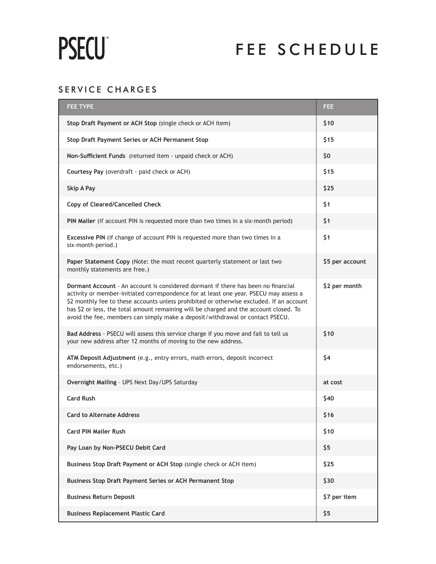# **PSECU**

# FEE SCHEDULE

## SERVICE CHARGES

| <b>FEE TYPE</b>                                                                                                                                                                                                                                                                                                                                                                                                                                          | FEE             |
|----------------------------------------------------------------------------------------------------------------------------------------------------------------------------------------------------------------------------------------------------------------------------------------------------------------------------------------------------------------------------------------------------------------------------------------------------------|-----------------|
| Stop Draft Payment or ACH Stop (single check or ACH item)                                                                                                                                                                                                                                                                                                                                                                                                | \$10            |
| Stop Draft Payment Series or ACH Permanent Stop                                                                                                                                                                                                                                                                                                                                                                                                          | \$15            |
| Non-Sufficient Funds (returned item - unpaid check or ACH)                                                                                                                                                                                                                                                                                                                                                                                               | \$0             |
| Courtesy Pay (overdraft - paid check or ACH)                                                                                                                                                                                                                                                                                                                                                                                                             | \$15            |
| Skip A Pay                                                                                                                                                                                                                                                                                                                                                                                                                                               | \$25            |
| <b>Copy of Cleared/Cancelled Check</b>                                                                                                                                                                                                                                                                                                                                                                                                                   | \$1             |
| PIN Mailer (if account PIN is requested more than two times in a six-month period)                                                                                                                                                                                                                                                                                                                                                                       | \$1             |
| Excessive PIN (if change of account PIN is requested more than two times in a<br>six-month period.)                                                                                                                                                                                                                                                                                                                                                      | \$1             |
| Paper Statement Copy (Note: the most recent quarterly statement or last two<br>monthly statements are free.)                                                                                                                                                                                                                                                                                                                                             | \$5 per account |
| <b>Dormant Account</b> - An account is considered dormant if there has been no financial<br>activity or member-initiated correspondence for at least one year. PSECU may assess a<br>\$2 monthly fee to these accounts unless prohibited or otherwise excluded. If an account<br>has \$2 or less, the total amount remaining will be charged and the account closed. To<br>avoid the fee, members can simply make a deposit/withdrawal or contact PSECU. | \$2 per month   |
| Bad Address - PSECU will assess this service charge if you move and fail to tell us<br>your new address after 12 months of moving to the new address.                                                                                                                                                                                                                                                                                                    | \$10            |
| ATM Deposit Adjustment (e.g., entry errors, math errors, deposit incorrect<br>endorsements, etc.)                                                                                                                                                                                                                                                                                                                                                        | \$4             |
| Overnight Mailing - UPS Next Day/UPS Saturday                                                                                                                                                                                                                                                                                                                                                                                                            | at cost         |
| <b>Card Rush</b>                                                                                                                                                                                                                                                                                                                                                                                                                                         | \$40            |
| <b>Card to Alternate Address</b>                                                                                                                                                                                                                                                                                                                                                                                                                         | \$16            |
| <b>Card PIN Mailer Rush</b>                                                                                                                                                                                                                                                                                                                                                                                                                              | \$10            |
| Pay Loan by Non-PSECU Debit Card                                                                                                                                                                                                                                                                                                                                                                                                                         | \$5             |
| Business Stop Draft Payment or ACH Stop (single check or ACH item)                                                                                                                                                                                                                                                                                                                                                                                       | \$25            |
| Business Stop Draft Payment Series or ACH Permanent Stop                                                                                                                                                                                                                                                                                                                                                                                                 | \$30            |
| <b>Business Return Deposit</b>                                                                                                                                                                                                                                                                                                                                                                                                                           | \$7 per item    |
| <b>Business Replacement Plastic Card</b>                                                                                                                                                                                                                                                                                                                                                                                                                 | \$5             |